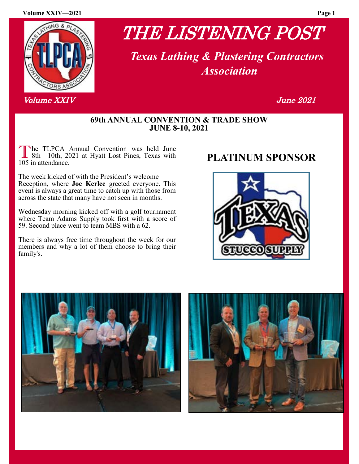#### **Volume XXIV—2021 Page 1**



Volume XX IV June 2021

# THE LISTENING POST

 *Texas Lathing & Plastering Contractors Association*

#### **69th ANNUAL CONVENTION & TRADE SHOW JUNE 8-10, 2021**

The TLPCA Annual Convention was held June<br>
8th—10th, 2021 at Hyatt Lost Pines, Texas with<br>
105 in attendance he TLPCA Annual Convention was held June 105 in attendance.

The week kicked of with the President's welcome Reception, where **Joe Kerlee** greeted everyone. This event is always a great time to catch up with those from across the state that many have not seen in months.

Wednesday morning kicked off with a golf tournament where Team Adams Supply took first with a score of 59. Second place went to team MBS with a 62.

There is always free time throughout the week for our members and why a lot of them choose to bring their family's.





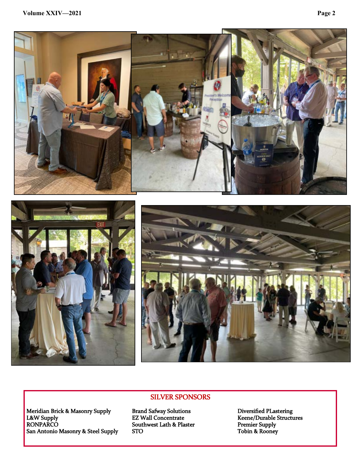





#### SILVER SPONSORS

Meridian Brick & Masonry Supply Brand Safway Solutions Diversified PLastering L&W Supply **EZ Wall Concentrate** Keene/Durable Structures RONPARCO Southwest Lath & Plaster Premier Supply  $\begin{tabular}{ll} Meridian Brick & Masonry Supply & Brand Safway Solutions & Diversified Plastering & EZ Wall Concentrate & Keene/Durable Structures & Romahtonio Masonry & Steel Supply & STO & Tobin & Routon & Toply \\ \end{tabular}$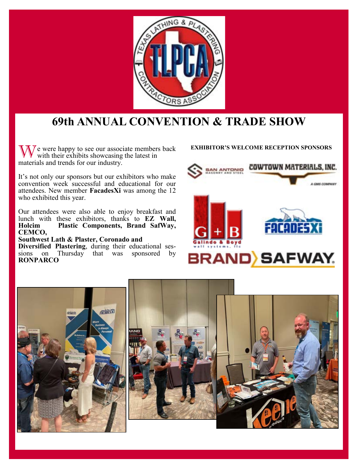

## **69th ANNUAL CONVENTION & TRADE SHOW**

W e were happy to see our associate members back **EXHIBITOR'S WELCOME RECEPTION SPONSORS** with their exhibits showcasing the latest in materials and trends for our industry.

It's not only our sponsors but our exhibitors who make convention week successful and educational for our attendees. New member **FacadesXi** was among the 12 who exhibited this year.

Our attendees were also able to enjoy breakfast and lunch with these exhibitors, thanks to **EZ Wall,**  Plastic Components, Brand SafWay, **CEMCO,** 

#### **Southwest Lath & Plaster, Coronado and**

**Diversified Plastering**, during their educational sessions on Thursday that was sponsored by **RONPARCO** 



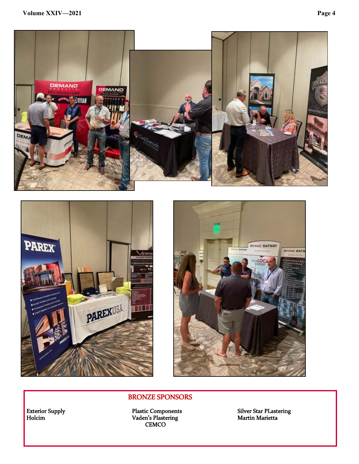





#### BRONZE SPONSORS

Holcim **Example 2.1 Transformation** Vaden's Plastering Martin Marietta Marietta **CEMCO** 

Exterior Supply Plastic Components Silver Star PLastering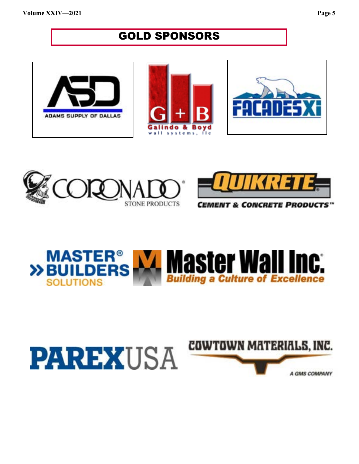## **GOLD SPONSORS**











*MENT & CONCRETE PRODUCTS™* 



# **PAREXUSA**

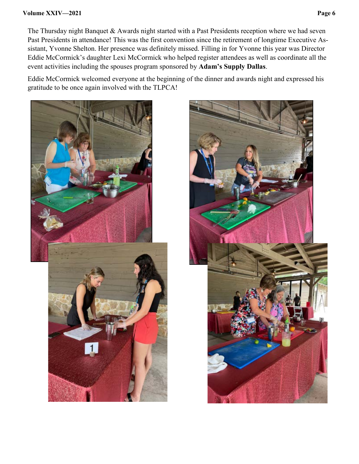#### **Volume XXIV—2021 Page 6**

The Thursday night Banquet & Awards night started with a Past Presidents reception where we had seven Past Presidents in attendance! This was the first convention since the retirement of longtime Executive Assistant, Yvonne Shelton. Her presence was definitely missed. Filling in for Yvonne this year was Director Eddie McCormick's daughter Lexi McCormick who helped register attendees as well as coordinate all the event activities including the spouses program sponsored by **Adam's Supply Dallas**.

Eddie McCormick welcomed everyone at the beginning of the dinner and awards night and expressed his gratitude to be once again involved with the TLPCA!



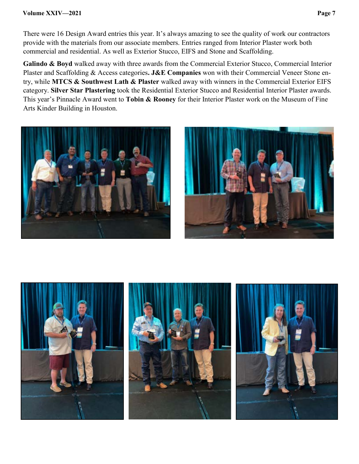There were 16 Design Award entries this year. It's always amazing to see the quality of work our contractors provide with the materials from our associate members. Entries ranged from Interior Plaster work both commercial and residential. As well as Exterior Stucco, EIFS and Stone and Scaffolding.

**Galindo & Boyd** walked away with three awards from the Commercial Exterior Stucco, Commercial Interior Plaster and Scaffolding & Access categories**. J&E Companies** won with their Commercial Veneer Stone entry, while **MTCS & Southwest Lath & Plaster** walked away with winners in the Commercial Exterior EIFS category. **Silver Star Plastering** took the Residential Exterior Stucco and Residential Interior Plaster awards. This year's Pinnacle Award went to **Tobin & Rooney** for their Interior Plaster work on the Museum of Fine Arts Kinder Building in Houston.





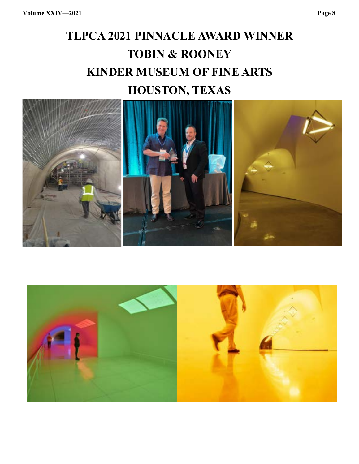## **TLPCA 2021 PINNACLE AWARD WINNER TOBIN & ROONEY KINDER MUSEUM OF FINE ARTS HOUSTON, TEXAS**



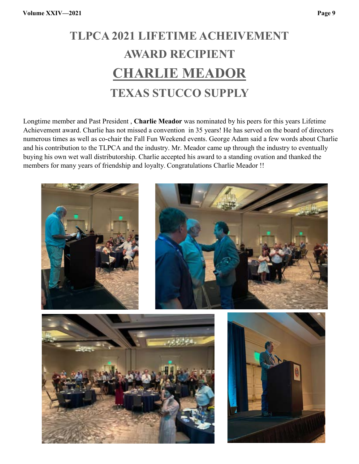# **TLPCA 2021 LIFETIME ACHEIVEMENT AWARD RECIPIENT CHARLIE MEADOR TEXAS STUCCO SUPPLY**

Longtime member and Past President , **Charlie Meador** was nominated by his peers for this years Lifetime Achievement award. Charlie has not missed a convention in 35 years! He has served on the board of directors numerous times as well as co-chair the Fall Fun Weekend events. George Adam said a few words about Charlie and his contribution to the TLPCA and the industry. Mr. Meador came up through the industry to eventually buying his own wet wall distributorship. Charlie accepted his award to a standing ovation and thanked the members for many years of friendship and loyalty. Congratulations Charlie Meador !!